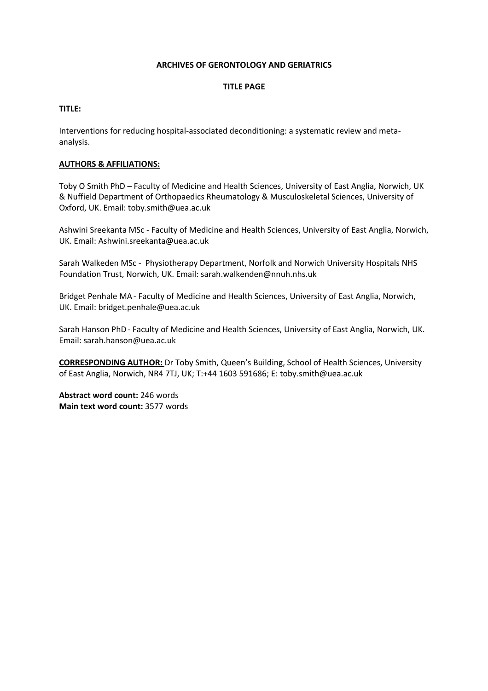#### **ARCHIVES OF GERONTOLOGY AND GERIATRICS**

#### **TITLE PAGE**

#### **TITLE:**

Interventions for reducing hospital-associated deconditioning: a systematic review and metaanalysis.

#### **AUTHORS & AFFILIATIONS:**

Toby O Smith PhD – Faculty of Medicine and Health Sciences, University of East Anglia, Norwich, UK & Nuffield Department of Orthopaedics Rheumatology & Musculoskeletal Sciences, University of Oxford, UK. Email: toby.smith@uea.ac.uk

Ashwini Sreekanta MSc - Faculty of Medicine and Health Sciences, University of East Anglia, Norwich, UK. Email: Ashwini.sreekanta@uea.ac.uk

Sarah Walkeden MSc - Physiotherapy Department, Norfolk and Norwich University Hospitals NHS Foundation Trust, Norwich, UK. Email: sarah.walkenden@nnuh.nhs.uk

Bridget Penhale MA- Faculty of Medicine and Health Sciences, University of East Anglia, Norwich, UK. Email: bridget.penhale@uea.ac.uk

Sarah Hanson PhD- Faculty of Medicine and Health Sciences, University of East Anglia, Norwich, UK. Email: sarah.hanson@uea.ac.uk

**CORRESPONDING AUTHOR:** Dr Toby Smith, Queen's Building, School of Health Sciences, University of East Anglia, Norwich, NR4 7TJ, UK; T:+44 1603 591686; E: toby.smith@uea.ac.uk

**Abstract word count:** 246 words **Main text word count:** 3577 words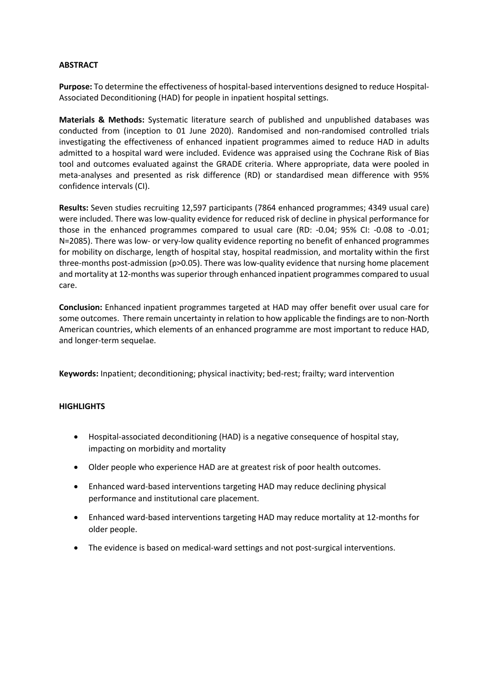#### **ABSTRACT**

**Purpose:** To determine the effectiveness of hospital-based interventions designed to reduce Hospital-Associated Deconditioning (HAD) for people in inpatient hospital settings.

**Materials & Methods:** Systematic literature search of published and unpublished databases was conducted from (inception to 01 June 2020). Randomised and non-randomised controlled trials investigating the effectiveness of enhanced inpatient programmes aimed to reduce HAD in adults admitted to a hospital ward were included. Evidence was appraised using the Cochrane Risk of Bias tool and outcomes evaluated against the GRADE criteria. Where appropriate, data were pooled in meta-analyses and presented as risk difference (RD) or standardised mean difference with 95% confidence intervals (CI).

**Results:** Seven studies recruiting 12,597 participants (7864 enhanced programmes; 4349 usual care) were included. There was low-quality evidence for reduced risk of decline in physical performance for those in the enhanced programmes compared to usual care (RD: -0.04; 95% CI: -0.08 to -0.01; N=2085). There was low- or very-low quality evidence reporting no benefit of enhanced programmes for mobility on discharge, length of hospital stay, hospital readmission, and mortality within the first three-months post-admission (p>0.05). There was low-quality evidence that nursing home placement and mortality at 12-months was superior through enhanced inpatient programmes compared to usual care.

**Conclusion:** Enhanced inpatient programmes targeted at HAD may offer benefit over usual care for some outcomes. There remain uncertainty in relation to how applicable the findings are to non-North American countries, which elements of an enhanced programme are most important to reduce HAD, and longer-term sequelae.

**Keywords:** Inpatient; deconditioning; physical inactivity; bed-rest; frailty; ward intervention

## **HIGHLIGHTS**

- Hospital-associated deconditioning (HAD) is a negative consequence of hospital stay, impacting on morbidity and mortality
- Older people who experience HAD are at greatest risk of poor health outcomes.
- Enhanced ward-based interventions targeting HAD may reduce declining physical performance and institutional care placement.
- Enhanced ward-based interventions targeting HAD may reduce mortality at 12-months for older people.
- The evidence is based on medical-ward settings and not post-surgical interventions.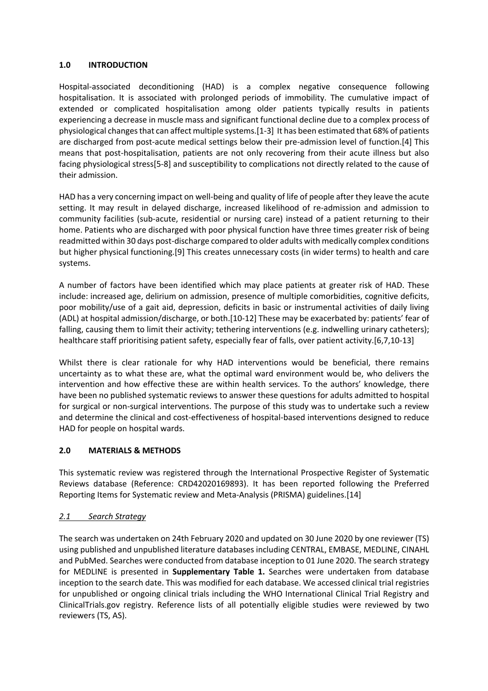## **1.0 INTRODUCTION**

Hospital-associated deconditioning (HAD) is a complex negative consequence following hospitalisation. It is associated with prolonged periods of immobility. The cumulative impact of extended or complicated hospitalisation among older patients typically results in patients experiencing a decrease in muscle mass and significant functional decline due to a complex process of physiological changes that can affect multiple systems.[1-3] It has been estimated that 68% of patients are discharged from post-acute medical settings below their pre-admission level of function.[4] This means that post-hospitalisation, patients are not only recovering from their acute illness but also facing physiological stress[5-8] and susceptibility to complications not directly related to the cause of their admission.

HAD has a very concerning impact on well-being and quality of life of people after they leave the acute setting. It may result in delayed discharge, increased likelihood of re-admission and admission to community facilities (sub-acute, residential or nursing care) instead of a patient returning to their home. Patients who are discharged with poor physical function have three times greater risk of being readmitted within 30 days post-discharge compared to older adults with medically complex conditions but higher physical functioning.[9] This creates unnecessary costs (in wider terms) to health and care systems.

A number of factors have been identified which may place patients at greater risk of HAD. These include: increased age, delirium on admission, presence of multiple comorbidities, cognitive deficits, poor mobility/use of a gait aid, depression, deficits in basic or instrumental activities of daily living (ADL) at hospital admission/discharge, or both.[10-12] These may be exacerbated by: patients' fear of falling, causing them to limit their activity; tethering interventions (e.g. indwelling urinary catheters); healthcare staff prioritising patient safety, especially fear of falls, over patient activity.[6,7,10-13]

Whilst there is clear rationale for why HAD interventions would be beneficial, there remains uncertainty as to what these are, what the optimal ward environment would be, who delivers the intervention and how effective these are within health services. To the authors' knowledge, there have been no published systematic reviews to answer these questions for adults admitted to hospital for surgical or non-surgical interventions. The purpose of this study was to undertake such a review and determine the clinical and cost-effectiveness of hospital-based interventions designed to reduce HAD for people on hospital wards.

## **2.0 MATERIALS & METHODS**

This systematic review was registered through the International Prospective Register of Systematic Reviews database (Reference: CRD42020169893). It has been reported following the Preferred Reporting Items for Systematic review and Meta-Analysis (PRISMA) guidelines.[14]

## *2.1 Search Strategy*

The search was undertaken on 24th February 2020 and updated on 30 June 2020 by one reviewer (TS) using published and unpublished literature databases including CENTRAL, EMBASE, MEDLINE, CINAHL and PubMed. Searches were conducted from database inception to 01 June 2020. The search strategy for MEDLINE is presented in **Supplementary Table 1.** Searches were undertaken from database inception to the search date. This was modified for each database. We accessed clinical trial registries for unpublished or ongoing clinical trials including the WHO International Clinical Trial Registry and ClinicalTrials.gov registry. Reference lists of all potentially eligible studies were reviewed by two reviewers (TS, AS).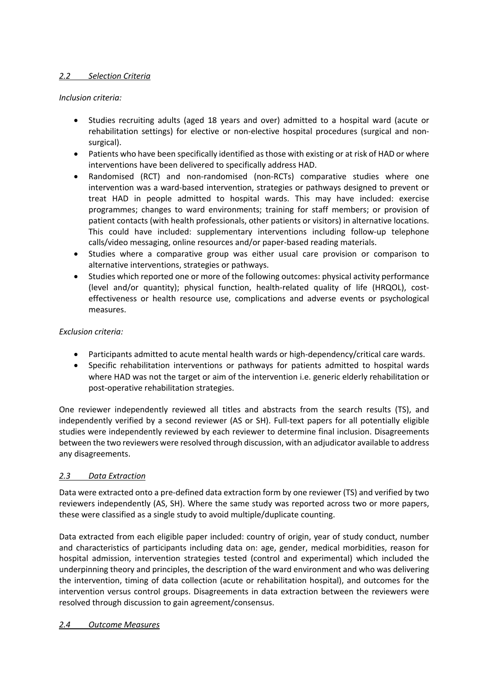# *2.2 Selection Criteria*

## *Inclusion criteria:*

- Studies recruiting adults (aged 18 years and over) admitted to a hospital ward (acute or rehabilitation settings) for elective or non-elective hospital procedures (surgical and nonsurgical).
- Patients who have been specifically identified as those with existing or at risk of HAD or where interventions have been delivered to specifically address HAD.
- Randomised (RCT) and non-randomised (non-RCTs) comparative studies where one intervention was a ward-based intervention, strategies or pathways designed to prevent or treat HAD in people admitted to hospital wards. This may have included: exercise programmes; changes to ward environments; training for staff members; or provision of patient contacts (with health professionals, other patients or visitors) in alternative locations. This could have included: supplementary interventions including follow-up telephone calls/video messaging, online resources and/or paper-based reading materials.
- Studies where a comparative group was either usual care provision or comparison to alternative interventions, strategies or pathways.
- Studies which reported one or more of the following outcomes: physical activity performance (level and/or quantity); physical function, health-related quality of life (HRQOL), costeffectiveness or health resource use, complications and adverse events or psychological measures.

## *Exclusion criteria:*

- Participants admitted to acute mental health wards or high-dependency/critical care wards.
- Specific rehabilitation interventions or pathways for patients admitted to hospital wards where HAD was not the target or aim of the intervention i.e. generic elderly rehabilitation or post-operative rehabilitation strategies.

One reviewer independently reviewed all titles and abstracts from the search results (TS), and independently verified by a second reviewer (AS or SH). Full-text papers for all potentially eligible studies were independently reviewed by each reviewer to determine final inclusion. Disagreements between the two reviewers were resolved through discussion, with an adjudicator available to address any disagreements.

## *2.3 Data Extraction*

Data were extracted onto a pre-defined data extraction form by one reviewer (TS) and verified by two reviewers independently (AS, SH). Where the same study was reported across two or more papers, these were classified as a single study to avoid multiple/duplicate counting.

Data extracted from each eligible paper included: country of origin, year of study conduct, number and characteristics of participants including data on: age, gender, medical morbidities, reason for hospital admission, intervention strategies tested (control and experimental) which included the underpinning theory and principles, the description of the ward environment and who was delivering the intervention, timing of data collection (acute or rehabilitation hospital), and outcomes for the intervention versus control groups. Disagreements in data extraction between the reviewers were resolved through discussion to gain agreement/consensus.

## *2.4 Outcome Measures*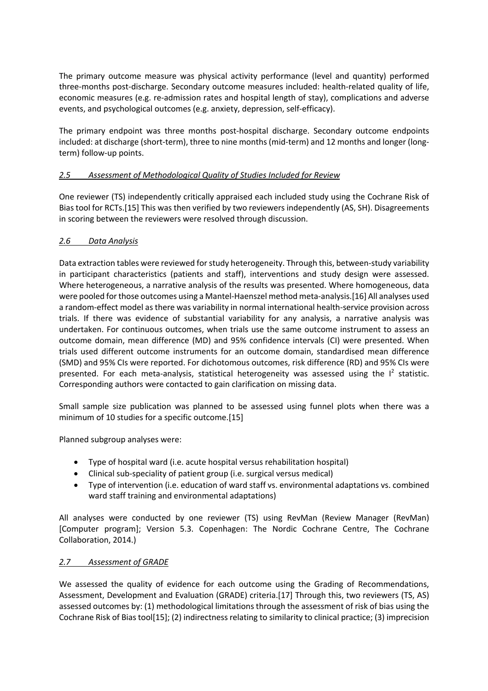The primary outcome measure was physical activity performance (level and quantity) performed three-months post-discharge. Secondary outcome measures included: health-related quality of life, economic measures (e.g. re-admission rates and hospital length of stay), complications and adverse events, and psychological outcomes (e.g. anxiety, depression, self-efficacy).

The primary endpoint was three months post-hospital discharge. Secondary outcome endpoints included: at discharge (short-term), three to nine months (mid-term) and 12 months and longer (longterm) follow-up points.

# *2.5 Assessment of Methodological Quality of Studies Included for Review*

One reviewer (TS) independently critically appraised each included study using the Cochrane Risk of Bias tool for RCTs.[15] This was then verified by two reviewers independently (AS, SH). Disagreements in scoring between the reviewers were resolved through discussion.

## *2.6 Data Analysis*

Data extraction tables were reviewed for study heterogeneity. Through this, between-study variability in participant characteristics (patients and staff), interventions and study design were assessed. Where heterogeneous, a narrative analysis of the results was presented. Where homogeneous, data were pooled for those outcomes using a Mantel-Haenszel method meta-analysis.[16] All analyses used a random-effect model as there was variability in normal international health-service provision across trials. If there was evidence of substantial variability for any analysis, a narrative analysis was undertaken. For continuous outcomes, when trials use the same outcome instrument to assess an outcome domain, mean difference (MD) and 95% confidence intervals (CI) were presented. When trials used different outcome instruments for an outcome domain, standardised mean difference (SMD) and 95% CIs were reported. For dichotomous outcomes, risk difference (RD) and 95% CIs were presented. For each meta-analysis, statistical heterogeneity was assessed using the  $I^2$  statistic. Corresponding authors were contacted to gain clarification on missing data.

Small sample size publication was planned to be assessed using funnel plots when there was a minimum of 10 studies for a specific outcome.[15]

Planned subgroup analyses were:

- Type of hospital ward (i.e. acute hospital versus rehabilitation hospital)
- Clinical sub-speciality of patient group (i.e. surgical versus medical)
- Type of intervention (i.e. education of ward staff vs. environmental adaptations vs. combined ward staff training and environmental adaptations)

All analyses were conducted by one reviewer (TS) using RevMan (Review Manager (RevMan) [Computer program]; Version 5.3. Copenhagen: The Nordic Cochrane Centre, The Cochrane Collaboration, 2014.)

## *2.7 Assessment of GRADE*

We assessed the quality of evidence for each outcome using the Grading of Recommendations, Assessment, Development and Evaluation (GRADE) criteria.[17] Through this, two reviewers (TS, AS) assessed outcomes by: (1) methodological limitations through the assessment of risk of bias using the Cochrane Risk of Bias tool[15]; (2) indirectness relating to similarity to clinical practice; (3) imprecision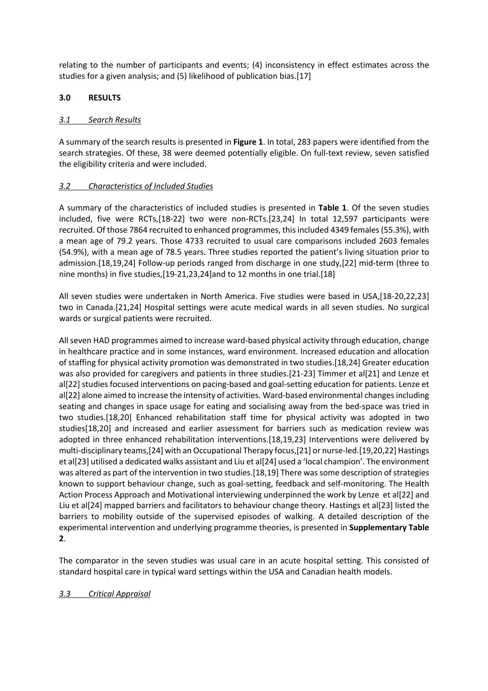relating to the number of participants and events; (4) inconsistency in effect estimates across the studies for a given analysis; and (5) likelihood of publication bias.[17]

## **3.0 RESULTS**

## *3.1 Search Results*

A summary of the search results is presented in **Figure 1**. In total, 283 papers were identified from the search strategies. Of these, 38 were deemed potentially eligible. On full-text review, seven satisfied the eligibility criteria and were included.

## *3.2 Characteristics of Included Studies*

A summary of the characteristics of included studies is presented in **Table 1**. Of the seven studies included, five were RCTs,[18-22] two were non-RCTs.[23,24] In total 12,597 participants were recruited. Of those 7864 recruited to enhanced programmes, this included 4349 females(55.3%), with a mean age of 79.2 years. Those 4733 recruited to usual care comparisons included 2603 females (54.9%), with a mean age of 78.5 years. Three studies reported the patient's living situation prior to admission.[18,19,24] Follow-up periods ranged from discharge in one study,[22] mid-term (three to nine months) in five studies,[19-21,23,24]and to 12 months in one trial.[18]

All seven studies were undertaken in North America. Five studies were based in USA,[18-20,22,23] two in Canada.[21,24] Hospital settings were acute medical wards in all seven studies. No surgical wards or surgical patients were recruited.

All seven HAD programmes aimed to increase ward-based physical activity through education, change in healthcare practice and in some instances, ward environment. Increased education and allocation of staffing for physical activity promotion was demonstrated in two studies.[18,24] Greater education was also provided for caregivers and patients in three studies.[21-23] Timmer et al[21] and Lenze et al[22] studies focused interventions on pacing-based and goal-setting education for patients. Lenze et al[22] alone aimed to increase the intensity of activities. Ward-based environmental changes including seating and changes in space usage for eating and socialising away from the bed-space was tried in two studies.[18,20] Enhanced rehabilitation staff time for physical activity was adopted in two studies[18,20] and increased and earlier assessment for barriers such as medication review was adopted in three enhanced rehabilitation interventions.[18,19,23] Interventions were delivered by multi-disciplinary teams,[24] with an Occupational Therapy focus,[21] or nurse-led.[19,20,22] Hastings et al[23] utilised a dedicated walks assistant and Liu et al[24] used a 'local champion'. The environment was altered as part of the intervention in two studies.[18,19] There was some description of strategies known to support behaviour change, such as goal-setting, feedback and self-monitoring. The Health Action Process Approach and Motivational interviewing underpinned the work by Lenze et al[22] and Liu et al[24] mapped barriers and facilitators to behaviour change theory. Hastings et al[23] listed the barriers to mobility outside of the supervised episodes of walking. A detailed description of the experimental intervention and underlying programme theories, is presented in **Supplementary Table 2**.

The comparator in the seven studies was usual care in an acute hospital setting. This consisted of standard hospital care in typical ward settings within the USA and Canadian health models.

## *3.3 Critical Appraisal*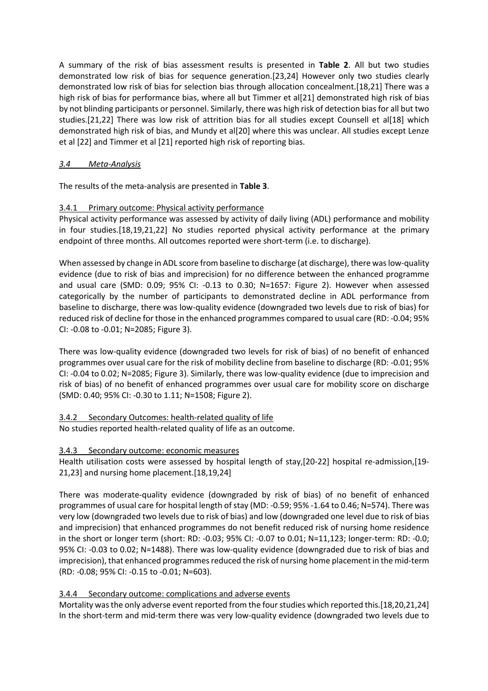A summary of the risk of bias assessment results is presented in **Table 2**. All but two studies demonstrated low risk of bias for sequence generation.[23,24] However only two studies clearly demonstrated low risk of bias for selection bias through allocation concealment.[18,21] There was a high risk of bias for performance bias, where all but Timmer et al[21] demonstrated high risk of bias by not blinding participants or personnel. Similarly, there was high risk of detection bias for all but two studies.[21,22] There was low risk of attrition bias for all studies except Counsell et al[18] which demonstrated high risk of bias, and Mundy et al[20] where this was unclear. All studies except Lenze et al [22] and Timmer et al [21] reported high risk of reporting bias.

# *3.4 Meta-Analysis*

The results of the meta-analysis are presented in **Table 3**.

# 3.4.1 Primary outcome: Physical activity performance

Physical activity performance was assessed by activity of daily living (ADL) performance and mobility in four studies.[18,19,21,22] No studies reported physical activity performance at the primary endpoint of three months. All outcomes reported were short-term (i.e. to discharge).

When assessed by change in ADL score from baseline to discharge (at discharge), there was low-quality evidence (due to risk of bias and imprecision) for no difference between the enhanced programme and usual care (SMD: 0.09; 95% CI: -0.13 to 0.30; N=1657: Figure 2). However when assessed categorically by the number of participants to demonstrated decline in ADL performance from baseline to discharge, there was low-quality evidence (downgraded two levels due to risk of bias) for reduced risk of decline for those in the enhanced programmes compared to usual care (RD: -0.04; 95% CI: -0.08 to -0.01; N=2085; Figure 3).

There was low-quality evidence (downgraded two levels for risk of bias) of no benefit of enhanced programmes over usual care for the risk of mobility decline from baseline to discharge (RD: -0.01; 95% CI: -0.04 to 0.02; N=2085; Figure 3). Similarly, there was low-quality evidence (due to imprecision and risk of bias) of no benefit of enhanced programmes over usual care for mobility score on discharge (SMD: 0.40; 95% CI: -0.30 to 1.11; N=1508; Figure 2).

## 3.4.2 Secondary Outcomes: health-related quality of life

No studies reported health-related quality of life as an outcome.

# 3.4.3 Secondary outcome: economic measures

Health utilisation costs were assessed by hospital length of stay,[20-22] hospital re-admission,[19- 21,23] and nursing home placement.[18,19,24]

There was moderate-quality evidence (downgraded by risk of bias) of no benefit of enhanced programmes of usual care for hospital length of stay (MD: -0.59; 95% -1.64 to 0.46; N=574). There was very low (downgraded two levels due to risk of bias) and low (downgraded one level due to risk of bias and imprecision) that enhanced programmes do not benefit reduced risk of nursing home residence in the short or longer term (short: RD: -0.03; 95% CI: -0.07 to 0.01; N=11,123; longer-term: RD: -0.0; 95% CI: -0.03 to 0.02; N=1488). There was low-quality evidence (downgraded due to risk of bias and imprecision), that enhanced programmes reduced the risk of nursing home placement in the mid-term (RD: -0.08; 95% CI: -0.15 to -0.01; N=603).

# 3.4.4 Secondary outcome: complications and adverse events

Mortality was the only adverse event reported from the four studies which reported this.[18,20,21,24] In the short-term and mid-term there was very low-quality evidence (downgraded two levels due to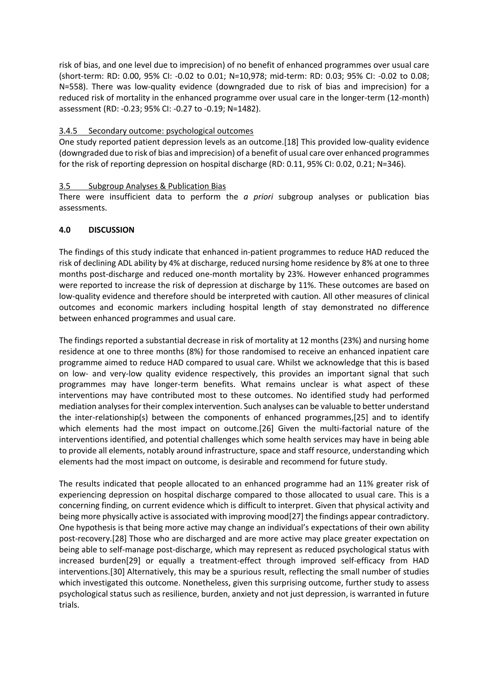risk of bias, and one level due to imprecision) of no benefit of enhanced programmes over usual care (short-term: RD: 0.00, 95% CI: -0.02 to 0.01; N=10,978; mid-term: RD: 0.03; 95% CI: -0.02 to 0.08; N=558). There was low-quality evidence (downgraded due to risk of bias and imprecision) for a reduced risk of mortality in the enhanced programme over usual care in the longer-term (12-month) assessment (RD: -0.23; 95% CI: -0.27 to -0.19; N=1482).

## 3.4.5 Secondary outcome: psychological outcomes

One study reported patient depression levels as an outcome.[18] This provided low-quality evidence (downgraded due to risk of bias and imprecision) of a benefit of usual care over enhanced programmes for the risk of reporting depression on hospital discharge (RD: 0.11, 95% CI: 0.02, 0.21; N=346).

## 3.5 Subgroup Analyses & Publication Bias

There were insufficient data to perform the *a priori* subgroup analyses or publication bias assessments.

## **4.0 DISCUSSION**

The findings of this study indicate that enhanced in-patient programmes to reduce HAD reduced the risk of declining ADL ability by 4% at discharge, reduced nursing home residence by 8% at one to three months post-discharge and reduced one-month mortality by 23%. However enhanced programmes were reported to increase the risk of depression at discharge by 11%. These outcomes are based on low-quality evidence and therefore should be interpreted with caution. All other measures of clinical outcomes and economic markers including hospital length of stay demonstrated no difference between enhanced programmes and usual care.

The findings reported a substantial decrease in risk of mortality at 12 months (23%) and nursing home residence at one to three months (8%) for those randomised to receive an enhanced inpatient care programme aimed to reduce HAD compared to usual care. Whilst we acknowledge that this is based on low- and very-low quality evidence respectively, this provides an important signal that such programmes may have longer-term benefits. What remains unclear is what aspect of these interventions may have contributed most to these outcomes. No identified study had performed mediation analyses for their complex intervention. Such analyses can be valuable to better understand the inter-relationship(s) between the components of enhanced programmes,[25] and to identify which elements had the most impact on outcome.[26] Given the multi-factorial nature of the interventions identified, and potential challenges which some health services may have in being able to provide all elements, notably around infrastructure, space and staff resource, understanding which elements had the most impact on outcome, is desirable and recommend for future study.

The results indicated that people allocated to an enhanced programme had an 11% greater risk of experiencing depression on hospital discharge compared to those allocated to usual care. This is a concerning finding, on current evidence which is difficult to interpret. Given that physical activity and being more physically active is associated with improving mood[27] the findings appear contradictory. One hypothesis is that being more active may change an individual's expectations of their own ability post-recovery.[28] Those who are discharged and are more active may place greater expectation on being able to self-manage post-discharge, which may represent as reduced psychological status with increased burden[29] or equally a treatment-effect through improved self-efficacy from HAD interventions.[30] Alternatively, this may be a spurious result, reflecting the small number of studies which investigated this outcome. Nonetheless, given this surprising outcome, further study to assess psychological status such as resilience, burden, anxiety and not just depression, is warranted in future trials.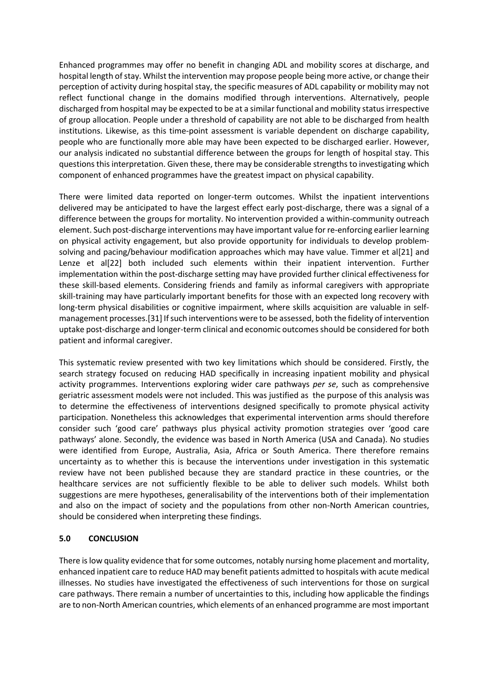Enhanced programmes may offer no benefit in changing ADL and mobility scores at discharge, and hospital length of stay. Whilst the intervention may propose people being more active, or change their perception of activity during hospital stay, the specific measures of ADL capability or mobility may not reflect functional change in the domains modified through interventions. Alternatively, people discharged from hospital may be expected to be at a similar functional and mobility status irrespective of group allocation. People under a threshold of capability are not able to be discharged from health institutions. Likewise, as this time-point assessment is variable dependent on discharge capability, people who are functionally more able may have been expected to be discharged earlier. However, our analysis indicated no substantial difference between the groups for length of hospital stay. This questions this interpretation. Given these, there may be considerable strengths to investigating which component of enhanced programmes have the greatest impact on physical capability.

There were limited data reported on longer-term outcomes. Whilst the inpatient interventions delivered may be anticipated to have the largest effect early post-discharge, there was a signal of a difference between the groups for mortality. No intervention provided a within-community outreach element. Such post-discharge interventions may have important value for re-enforcing earlier learning on physical activity engagement, but also provide opportunity for individuals to develop problemsolving and pacing/behaviour modification approaches which may have value. Timmer et al[21] and Lenze et al[22] both included such elements within their inpatient intervention. Further implementation within the post-discharge setting may have provided further clinical effectiveness for these skill-based elements. Considering friends and family as informal caregivers with appropriate skill-training may have particularly important benefits for those with an expected long recovery with long-term physical disabilities or cognitive impairment, where skills acquisition are valuable in selfmanagement processes.[31] If such interventions were to be assessed, both the fidelity of intervention uptake post-discharge and longer-term clinical and economic outcomes should be considered for both patient and informal caregiver.

This systematic review presented with two key limitations which should be considered. Firstly, the search strategy focused on reducing HAD specifically in increasing inpatient mobility and physical activity programmes. Interventions exploring wider care pathways *per se*, such as comprehensive geriatric assessment models were not included. This was justified as the purpose of this analysis was to determine the effectiveness of interventions designed specifically to promote physical activity participation. Nonetheless this acknowledges that experimental intervention arms should therefore consider such 'good care' pathways plus physical activity promotion strategies over 'good care pathways' alone. Secondly, the evidence was based in North America (USA and Canada). No studies were identified from Europe, Australia, Asia, Africa or South America. There therefore remains uncertainty as to whether this is because the interventions under investigation in this systematic review have not been published because they are standard practice in these countries, or the healthcare services are not sufficiently flexible to be able to deliver such models. Whilst both suggestions are mere hypotheses, generalisability of the interventions both of their implementation and also on the impact of society and the populations from other non-North American countries, should be considered when interpreting these findings.

## **5.0 CONCLUSION**

There is low quality evidence that for some outcomes, notably nursing home placement and mortality, enhanced inpatient care to reduce HAD may benefit patients admitted to hospitals with acute medical illnesses. No studies have investigated the effectiveness of such interventions for those on surgical care pathways. There remain a number of uncertainties to this, including how applicable the findings are to non-North American countries, which elements of an enhanced programme are most important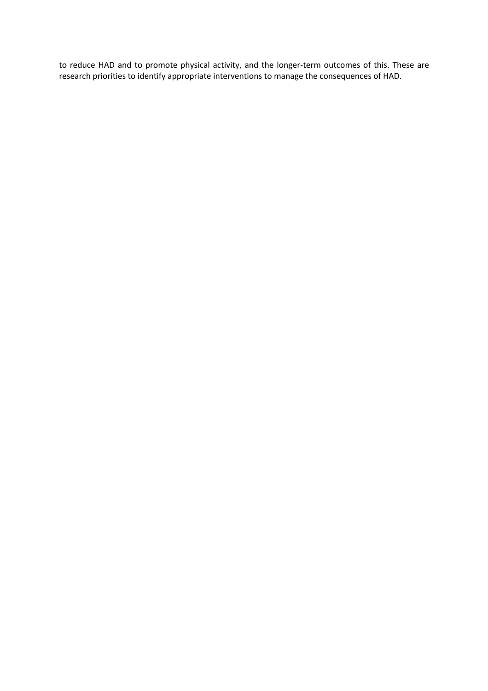to reduce HAD and to promote physical activity, and the longer-term outcomes of this. These are research priorities to identify appropriate interventions to manage the consequences of HAD.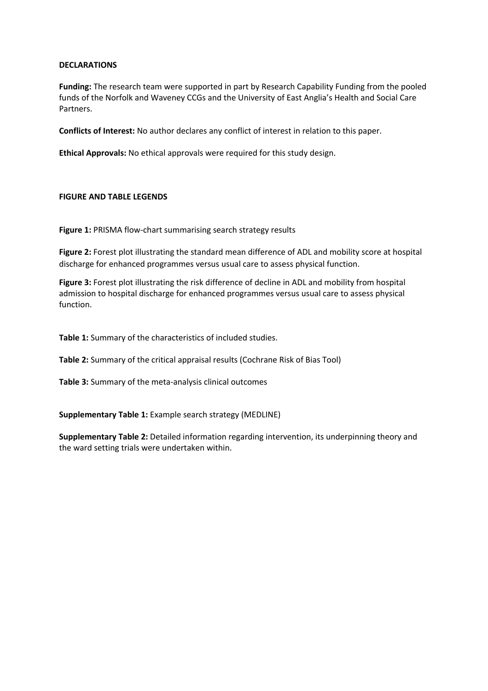#### **DECLARATIONS**

**Funding:** The research team were supported in part by Research Capability Funding from the pooled funds of the Norfolk and Waveney CCGs and the University of East Anglia's Health and Social Care Partners.

**Conflicts of Interest:** No author declares any conflict of interest in relation to this paper.

**Ethical Approvals:** No ethical approvals were required for this study design.

## **FIGURE AND TABLE LEGENDS**

**Figure 1:** PRISMA flow-chart summarising search strategy results

**Figure 2:** Forest plot illustrating the standard mean difference of ADL and mobility score at hospital discharge for enhanced programmes versus usual care to assess physical function.

**Figure 3:** Forest plot illustrating the risk difference of decline in ADL and mobility from hospital admission to hospital discharge for enhanced programmes versus usual care to assess physical function.

**Table 1:** Summary of the characteristics of included studies.

**Table 2:** Summary of the critical appraisal results (Cochrane Risk of Bias Tool)

**Table 3:** Summary of the meta-analysis clinical outcomes

**Supplementary Table 1:** Example search strategy (MEDLINE)

**Supplementary Table 2:** Detailed information regarding intervention, its underpinning theory and the ward setting trials were undertaken within.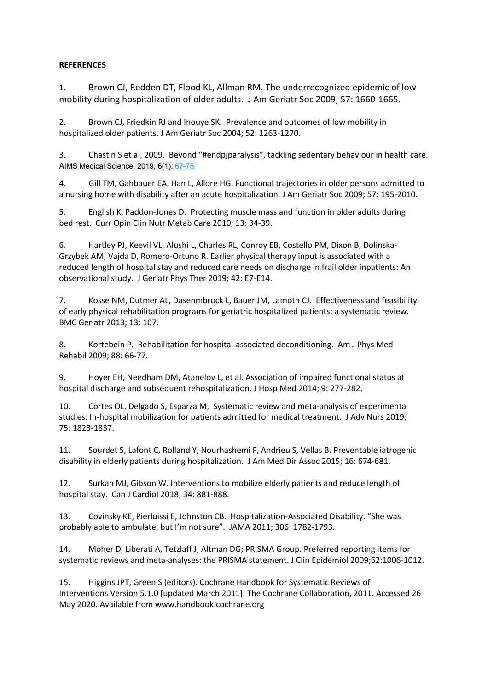## **REFERENCES**

1. Brown CJ, Redden DT, Flood KL, Allman RM. The underrecognized epidemic of low mobility during hospitalization of older adults. J Am Geriatr Soc 2009; 57: 1660-1665.

2. Brown CJ, Friedkin RJ and Inouye SK. Prevalence and outcomes of low mobility in hospitalized older patients. J Am Geriatr Soc 2004; 52: 1263-1270.

3. Chastin S et al, 2009. Beyond "#endpjparalysis", tackling sedentary behaviour in health care. AIMS Medical Science, 2019, 6(1): 67-75.

4. Gill TM, Gahbauer EA, Han L, Allore HG. Functional trajectories in older persons admitted to a nursing home with disability after an acute hospitalization. J Am Geriatr Soc 2009; 57: 195-2010.

5. English K, Paddon-Jones D. Protecting muscle mass and function in older adults during bed rest. Curr Opin Clin Nutr Metab Care 2010; 13: 34-39.

6. Hartley PJ, Keevil VL, Alushi L, Charles RL, Conroy EB, Costello PM, Dixon B, Dolinska-Grzybek AM, Vajda D, Romero-Ortuno R. Earlier physical therapy input is associated with a reduced length of hospital stay and reduced care needs on discharge in frail older inpatients: An observational study. J Geriatr Phys Ther 2019; 42: E7-E14.

7. Kosse NM, Dutmer AL, Dasenmbrock L, Bauer JM, Lamoth CJ. Effectiveness and feasibility of early physical rehabilitation programs for geriatric hospitalized patients: a systematic review. BMC Geriatr 2013; 13: 107.

8. Kortebein P. Rehabilitation for hospital-associated deconditioning. Am J Phys Med Rehabil 2009; 88: 66-77.

9. Hoyer EH, Needham DM, Atanelov L, et al. Association of impaired functional status at hospital discharge and subsequent rehospitalization. J Hosp Med 2014; 9: 277-282.

10. Cortes OL, Delgado S, Esparza M, Systematic review and meta-analysis of experimental studies: In-hospital mobilization for patients admitted for medical treatment. J Adv Nurs 2019; 75: 1823-1837.

11. Sourdet S, Lafont C, Rolland Y, Nourhashemi F, Andrieu S, Vellas B. Preventable iatrogenic disability in elderly patients during hospitalization. J Am Med Dir Assoc 2015; 16: 674-681.

12. Surkan MJ, Gibson W. Interventions to mobilize elderly patients and reduce length of hospital stay. Can J Cardiol 2018; 34: 881-888.

13. Covinsky KE, Pierluissi E, Johnston CB. Hospitalization-Associated Disability. "She was probably able to ambulate, but I'm not sure". JAMA 2011; 306: 1782-1793.

14. Moher D, Liberati A, Tetzlaff J, Altman DG; PRISMA Group. Preferred reporting items for systematic reviews and meta-analyses: the PRISMA statement. J Clin Epidemiol 2009;62:1006-1012.

15. Higgins JPT, Green S (editors). Cochrane Handbook for Systematic Reviews of Interventions Version 5.1.0 [updated March 2011]. The Cochrane Collaboration, 2011. Accessed 26 May 2020. Available from www.handbook.cochrane.org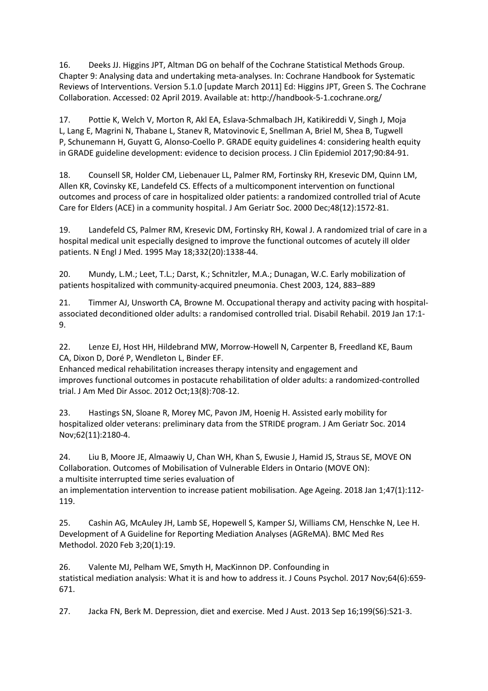16. Deeks JJ. Higgins JPT, Altman DG on behalf of the Cochrane Statistical Methods Group. Chapter 9: Analysing data and undertaking meta-analyses. In: Cochrane Handbook for Systematic Reviews of Interventions. Version 5.1.0 [update March 2011] Ed: Higgins JPT, Green S. The Cochrane Collaboration. Accessed: 02 April 2019. Available at: http://handbook-5-1.cochrane.org/

17. Pottie K, Welch V, Morton R, Akl EA, Eslava-Schmalbach JH, Katikireddi V, Singh J, Moja L, Lang E, Magrini N, Thabane L, Stanev R, Matovinovic E, Snellman A, Briel M, Shea B, Tugwell P, Schunemann H, Guyatt G, Alonso-Coello P. GRADE equity guidelines 4: considering health equity in GRADE guideline development: evidence to decision process. J Clin Epidemiol 2017;90:84-91.

18. Counsell SR, Holder CM, Liebenauer LL, Palmer RM, Fortinsky RH, Kresevic DM, Quinn LM, Allen KR, Covinsky KE, Landefeld CS. Effects of a multicomponent intervention on functional outcomes and process of care in hospitalized older patients: a randomized controlled trial of Acute Care for Elders (ACE) in a community hospital. J Am Geriatr Soc. 2000 Dec;48(12):1572-81.

19. Landefeld CS, Palmer RM, Kresevic DM, Fortinsky RH, Kowal J. A randomized trial of care in a hospital medical unit especially designed to improve the functional outcomes of acutely ill older patients. N Engl J Med. 1995 May 18;332(20):1338-44.

20. Mundy, L.M.; Leet, T.L.; Darst, K.; Schnitzler, M.A.; Dunagan, W.C. Early mobilization of patients hospitalized with community-acquired pneumonia. Chest 2003, 124, 883–889

21. Timmer AJ, Unsworth CA, Browne M. Occupational therapy and activity pacing with hospitalassociated deconditioned older adults: a randomised controlled trial. Disabil Rehabil. 2019 Jan 17:1- 9.

22. Lenze EJ, Host HH, Hildebrand MW, Morrow-Howell N, Carpenter B, Freedland KE, Baum CA, Dixon D, Doré P, Wendleton L, Binder EF.

Enhanced medical rehabilitation increases therapy intensity and engagement and improves functional outcomes in postacute rehabilitation of older adults: a randomized-controlled trial. J Am Med Dir Assoc. 2012 Oct;13(8):708-12.

23. Hastings SN, Sloane R, Morey MC, Pavon JM, Hoenig H. Assisted early mobility for hospitalized older veterans: preliminary data from the STRIDE program. J Am Geriatr Soc. 2014 Nov;62(11):2180-4.

24. Liu B, Moore JE, Almaawiy U, Chan WH, Khan S, Ewusie J, Hamid JS, Straus SE, MOVE ON Collaboration. Outcomes of Mobilisation of Vulnerable Elders in Ontario (MOVE ON): a multisite interrupted time series evaluation of

an implementation intervention to increase patient mobilisation. Age Ageing. 2018 Jan 1;47(1):112- 119.

25. Cashin AG, McAuley JH, Lamb SE, Hopewell S, Kamper SJ, Williams CM, Henschke N, Lee H. Development of A Guideline for Reporting Mediation Analyses (AGReMA). BMC Med Res Methodol. 2020 Feb 3;20(1):19.

26. Valente MJ, Pelham WE, Smyth H, MacKinnon DP. Confounding in statistical mediation analysis: What it is and how to address it. J Couns Psychol. 2017 Nov;64(6):659- 671.

27. Jacka FN, Berk M. Depression, diet and exercise. Med J Aust. 2013 Sep 16;199(S6):S21-3.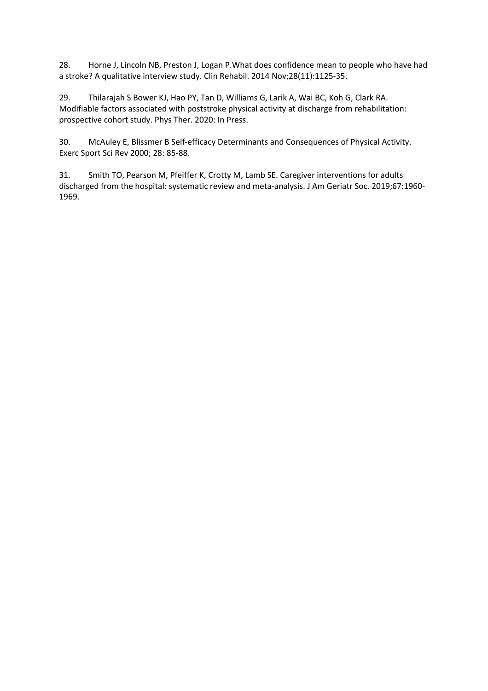28. Horne J, Lincoln NB, Preston J, Logan P.What does confidence mean to people who have had a stroke? A qualitative interview study. Clin Rehabil. 2014 Nov;28(11):1125-35.

29. Thilarajah S Bower KJ, Hao PY, Tan D, Williams G, Larik A, Wai BC, Koh G, Clark RA. Modifiable factors associated with poststroke physical activity at discharge from rehabilitation: prospective cohort study. Phys Ther. 2020: In Press.

30. McAuley E, Blissmer B Self-efficacy Determinants and Consequences of Physical Activity. Exerc Sport Sci Rev 2000; 28: 85-88.

31. Smith TO, Pearson M, Pfeiffer K, Crotty M, Lamb SE. Caregiver interventions for adults discharged from the hospital: systematic review and meta-analysis. J Am Geriatr Soc. 2019;67:1960- 1969.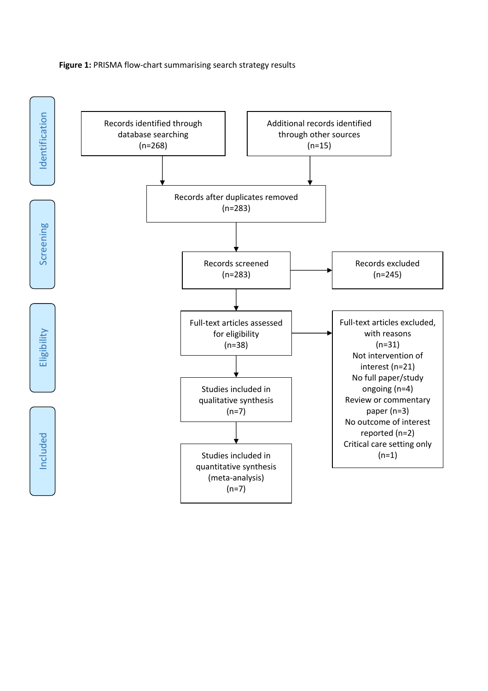#### **Figure 1:** PRISMA flow-chart summarising search strategy results

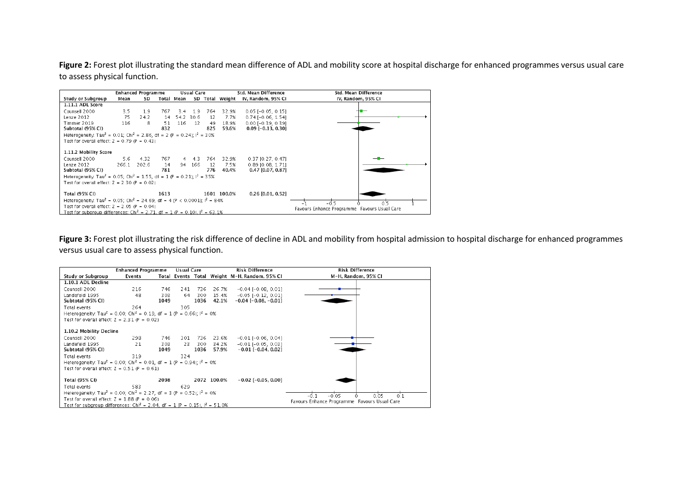Figure 2: Forest plot illustrating the standard mean difference of ADL and mobility score at hospital discharge for enhanced programmes versus usual care to assess physical function.

|                                                                                                    |                                                                                                | <b>Enhanced Programme</b> |           |            | Usual Care |           |                 | Std. Mean Difference                   | Std. Mean Difference |
|----------------------------------------------------------------------------------------------------|------------------------------------------------------------------------------------------------|---------------------------|-----------|------------|------------|-----------|-----------------|----------------------------------------|----------------------|
| Study or Subgroup                                                                                  | Mean                                                                                           | SD                        |           | Total Mean |            |           | SD Total Weight | IV, Random, 95% CI                     | IV. Random. 95% CI   |
| 1.11.1 ADL Score                                                                                   |                                                                                                |                           |           |            |            |           |                 |                                        |                      |
| Counsell 2000                                                                                      | 3.5                                                                                            | 1.9                       | 767.      | 3.4        | 1.9        | 764       | 32.9%           | $0.05$ [-0.05, 0.15]                   |                      |
| Lenze 2012                                                                                         | 75                                                                                             | 24.2                      | 14        |            | 54.2 30.6  | 12        | 7.7%            | $0.74$ [-0.06, 1.54]                   |                      |
| Timmer 2019                                                                                        | 116                                                                                            | 8                         | 51        | 116        | -12        | 49        | 18.9%           | $0.00$ [-0.39, 0.39]                   |                      |
| Subtotal (95% CI)                                                                                  |                                                                                                |                           | 832       |            |            | 825       | 59.6%           | $0.09$ [-0.13, 0.30]                   |                      |
| Heterogeneity: Tau <sup>2</sup> = 0.01; Chi <sup>2</sup> = 2.86, df = 2 (P = 0.24); $I^2$ = 30%    |                                                                                                |                           |           |            |            |           |                 |                                        |                      |
| Test for overall effect: $Z = 0.79$ (P = 0.43)                                                     |                                                                                                |                           |           |            |            |           |                 |                                        |                      |
| 1.11.2 Mobility Score                                                                              |                                                                                                |                           |           |            |            |           |                 |                                        |                      |
| Counsell 2000                                                                                      | 5.6                                                                                            | 4.32                      | 767       |            | $4 \t 4.3$ | 764       | 32.9%           | 0.37 [0.27, 0.47]                      |                      |
| Lenze 2012<br>Subtotal (95% CI)                                                                    | 266.1                                                                                          | 202.6                     | 14<br>781 | 94         | 166        | 12<br>776 | 7.5%<br>40.4%   | 0.89 [0.08, 1.71]<br>0.47 [0.07, 0.87] |                      |
| Heterogeneity: Tau <sup>2</sup> = 0.05; Chi <sup>2</sup> = 1.55, df = 1 (P = 0.21); $I^2$ = 35%    |                                                                                                |                           |           |            |            |           |                 |                                        |                      |
| Test for overall effect: $Z = 2.30$ (P = 0.02)                                                     |                                                                                                |                           |           |            |            |           |                 |                                        |                      |
| Total (95% CI)                                                                                     |                                                                                                |                           | 1613      |            |            |           | 1601 100.0%     | $0.26$ [0.01, 0.52]                    |                      |
| Heterogeneity: Tau <sup>2</sup> = 0.05; Chi <sup>2</sup> = 24.69, df = 4 (P < 0.0001); $I^2$ = 84% |                                                                                                |                           |           |            |            |           |                 |                                        | 0'S<br>$-0.5$        |
|                                                                                                    | Test for overall effect: $Z = 2.05$ (P = 0.04)<br>Favours Enhance Programme Favours Usual Care |                           |           |            |            |           |                 |                                        |                      |
| Test for subgroup differences: Chi <sup>2</sup> = 2.71, df = 1 (P = 0.10), $I^2$ = 63.1%           |                                                                                                |                           |           |            |            |           |                 |                                        |                      |

Figure 3: Forest plot illustrating the risk difference of decline in ADL and mobility from hospital admission to hospital discharge for enhanced programmes versus usual care to assess physical function.

|                                                                                                | <b>Enhanced Programme</b> |      | <b>Usual Care</b> |      |             | <b>Risk Difference</b>                        | <b>Risk Difference</b> |
|------------------------------------------------------------------------------------------------|---------------------------|------|-------------------|------|-------------|-----------------------------------------------|------------------------|
| Study or Subgroup                                                                              | Events                    |      |                   |      |             | Total Events Total Weight M-H, Random, 95% CI | M-H, Random, 95% CI    |
| 1.10.1 ADL Decline                                                                             |                           |      |                   |      |             |                                               |                        |
| Counsell 2000                                                                                  | 216                       | 746  | 241               | 736  | 26.7%       | $-0.04$ [ $-0.08$ , $0.01$ ]                  |                        |
| Landefeld 1995                                                                                 | 48                        | 303  | 64                | 300  | 15.4%       | $-0.05$ $[-0.12, 0.01]$                       |                        |
| Subtotal (95% CI)                                                                              |                           | 1049 |                   | 1036 | 42.1%       | $-0.04$ [ $-0.08$ , $-0.01$ ]                 |                        |
| Total events                                                                                   | 264                       |      | 305               |      |             |                                               |                        |
| Heterogeneity: Tau <sup>2</sup> = 0.00; Chi <sup>2</sup> = 0.19, df = 1 (P = 0.66); $I^2$ = 0% |                           |      |                   |      |             |                                               |                        |
| Test for overall effect: $Z = 2.31$ (P = 0.02)                                                 |                           |      |                   |      |             |                                               |                        |
| 1.10.2 Mobility Decline                                                                        |                           |      |                   |      |             |                                               |                        |
| Counsell 2000                                                                                  | 298                       | 746  | 301               | 736  | 23.6%       | $-0.01$ [ $-0.06$ , $0.04$ ]                  |                        |
| Landefeld 1995                                                                                 | 21                        | 303  | 23.               | 300  | 34.2%       | $-0.01$ [ $-0.05$ , 0.03]                     |                        |
| Subtotal (95% CI)                                                                              |                           | 1049 |                   | 1036 | 57.9%       | $-0.01$ [ $-0.04$ , $0.02$ ]                  |                        |
| Total events                                                                                   | 319                       |      | 324               |      |             |                                               |                        |
| Heterogeneity: Tau <sup>2</sup> = 0.00; Chi <sup>2</sup> = 0.01, df = 1 (P = 0.94); $I^2$ = 0% |                           |      |                   |      |             |                                               |                        |
| Test for overall effect: $Z = 0.51$ (P = 0.61)                                                 |                           |      |                   |      |             |                                               |                        |
| Total (95% CI)                                                                                 |                           | 2098 |                   |      | 2072 100.0% | $-0.02$ [ $-0.05, 0.00$ ]                     |                        |
| Total events                                                                                   | 583                       |      | 629               |      |             |                                               |                        |
| Heterogeneity: Tau <sup>2</sup> = 0.00; Chi <sup>2</sup> = 2.27, df = 3 (P = 0.52); $I^2$ = 0% |                           |      |                   |      |             | $-0.05$<br>0.05<br>0.1<br>-n                  |                        |
| Test for overall effect: $Z = 1.88$ (P = 0.06)                                                 |                           |      |                   |      |             | Favours Enhance Programme Favours Usual Care  |                        |
| Test for subgroup differences: Chi <sup>2</sup> = 2.04, df = 1 (P = 0.15), $I^2 = 51.0\%$      |                           |      |                   |      |             |                                               |                        |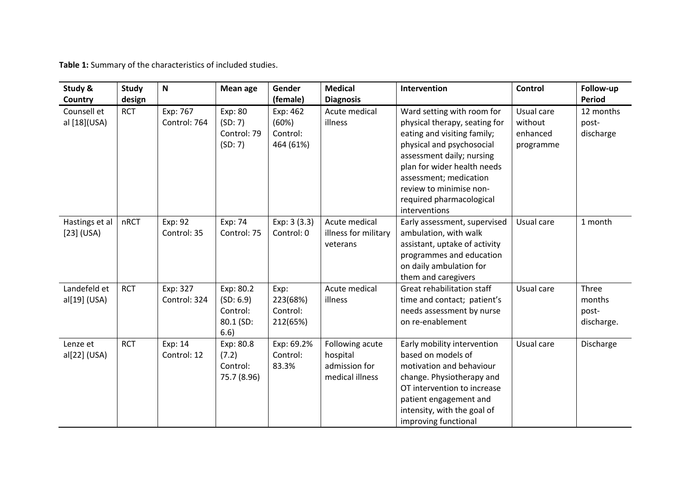**Table 1:** Summary of the characteristics of included studies.

| Study &<br><b>Country</b>      | <b>Study</b><br>design | $\boldsymbol{\mathsf{N}}$ | <b>Mean age</b>                                         | Gender<br>(female)                         | <b>Medical</b><br><b>Diagnosis</b>                              | Intervention                                                                                                                                                                                                                                                                          | Control                                        | Follow-up<br>Period                    |
|--------------------------------|------------------------|---------------------------|---------------------------------------------------------|--------------------------------------------|-----------------------------------------------------------------|---------------------------------------------------------------------------------------------------------------------------------------------------------------------------------------------------------------------------------------------------------------------------------------|------------------------------------------------|----------------------------------------|
| Counsell et<br>al [18](USA)    | <b>RCT</b>             | Exp: 767<br>Control: 764  | Exp: 80<br>(SD:7)<br>Control: 79<br>(SD:7)              | Exp: 462<br>(60%)<br>Control:<br>464 (61%) | Acute medical<br>illness                                        | Ward setting with room for<br>physical therapy, seating for<br>eating and visiting family;<br>physical and psychosocial<br>assessment daily; nursing<br>plan for wider health needs<br>assessment; medication<br>review to minimise non-<br>required pharmacological<br>interventions | Usual care<br>without<br>enhanced<br>programme | 12 months<br>post-<br>discharge        |
| Hastings et al<br>$[23]$ (USA) | nRCT                   | Exp: 92<br>Control: 35    | Exp: 74<br>Control: 75                                  | Exp: 3 (3.3)<br>Control: 0                 | Acute medical<br>illness for military<br>veterans               | Early assessment, supervised<br>ambulation, with walk<br>assistant, uptake of activity<br>programmes and education<br>on daily ambulation for<br>them and caregivers                                                                                                                  | Usual care                                     | 1 month                                |
| Landefeld et<br>al[19] (USA)   | <b>RCT</b>             | Exp: 327<br>Control: 324  | Exp: 80.2<br>(SD: 6.9)<br>Control:<br>80.1 (SD:<br>6.6) | Exp:<br>223(68%)<br>Control:<br>212(65%)   | Acute medical<br>illness                                        | Great rehabilitation staff<br>time and contact; patient's<br>needs assessment by nurse<br>on re-enablement                                                                                                                                                                            | Usual care                                     | Three<br>months<br>post-<br>discharge. |
| Lenze et<br>al[22] (USA)       | <b>RCT</b>             | Exp: 14<br>Control: 12    | Exp: 80.8<br>(7.2)<br>Control:<br>75.7 (8.96)           | Exp: 69.2%<br>Control:<br>83.3%            | Following acute<br>hospital<br>admission for<br>medical illness | Early mobility intervention<br>based on models of<br>motivation and behaviour<br>change. Physiotherapy and<br>OT intervention to increase<br>patient engagement and<br>intensity, with the goal of<br>improving functional                                                            | Usual care                                     | Discharge                              |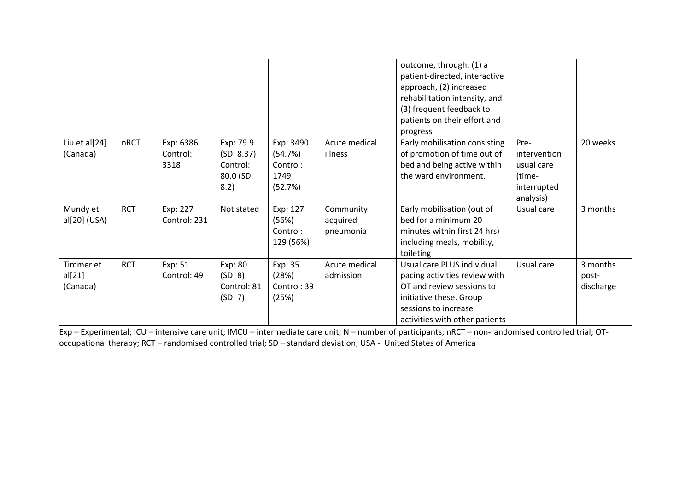|                                 |            |                               |                                                          |                                                     |                                    | outcome, through: (1) a<br>patient-directed, interactive<br>approach, (2) increased<br>rehabilitation intensity, and<br>(3) frequent feedback to<br>patients on their effort and<br>progress |                                                                          |                                |
|---------------------------------|------------|-------------------------------|----------------------------------------------------------|-----------------------------------------------------|------------------------------------|----------------------------------------------------------------------------------------------------------------------------------------------------------------------------------------------|--------------------------------------------------------------------------|--------------------------------|
| Liu et al[24]<br>(Canada)       | nRCT       | Exp: 6386<br>Control:<br>3318 | Exp: 79.9<br>(SD: 8.37)<br>Control:<br>80.0 (SD:<br>8.2) | Exp: 3490<br>(54.7%)<br>Control:<br>1749<br>(52.7%) | Acute medical<br>illness           | Early mobilisation consisting<br>of promotion of time out of<br>bed and being active within<br>the ward environment.                                                                         | Pre-<br>intervention<br>usual care<br>(time-<br>interrupted<br>analysis) | 20 weeks                       |
| Mundy et<br>al[20] (USA)        | <b>RCT</b> | Exp: 227<br>Control: 231      | Not stated                                               | Exp: 127<br>(56%)<br>Control:<br>129 (56%)          | Community<br>acquired<br>pneumonia | Early mobilisation (out of<br>bed for a minimum 20<br>minutes within first 24 hrs)<br>including meals, mobility,<br>toileting                                                                | Usual care                                                               | 3 months                       |
| Timmer et<br>al[21]<br>(Canada) | <b>RCT</b> | Exp: 51<br>Control: 49        | Exp: 80<br>(SD: 8)<br>Control: 81<br>(SD: 7)             | Exp: 35<br>(28%)<br>Control: 39<br>(25%)            | Acute medical<br>admission         | Usual care PLUS individual<br>pacing activities review with<br>OT and review sessions to<br>initiative these. Group<br>sessions to increase<br>activities with other patients                | Usual care                                                               | 3 months<br>post-<br>discharge |

Exp – Experimental; ICU – intensive care unit; IMCU – intermediate care unit; N – number of participants; nRCT – non-randomised controlled trial; OToccupational therapy; RCT – randomised controlled trial; SD – standard deviation; USA - United States of America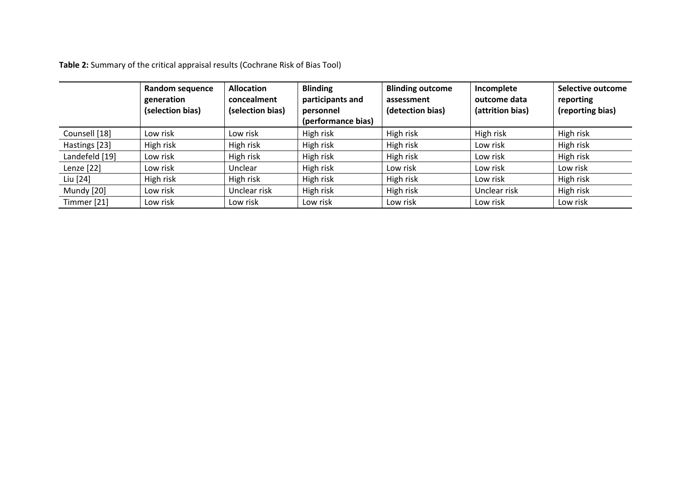**Table 2:** Summary of the critical appraisal results (Cochrane Risk of Bias Tool)

|                | Random sequence<br>generation<br>(selection bias) | <b>Allocation</b><br>concealment<br>(selection bias) | <b>Blinding</b><br>participants and<br>personnel<br>(performance bias) | <b>Blinding outcome</b><br>assessment<br>(detection bias) | Incomplete<br>outcome data<br>(attrition bias) | <b>Selective outcome</b><br>reporting<br>(reporting bias) |
|----------------|---------------------------------------------------|------------------------------------------------------|------------------------------------------------------------------------|-----------------------------------------------------------|------------------------------------------------|-----------------------------------------------------------|
| Counsell [18]  | Low risk                                          | Low risk                                             | High risk                                                              | High risk                                                 | High risk                                      | High risk                                                 |
| Hastings [23]  | High risk                                         | High risk                                            | High risk                                                              | High risk                                                 | Low risk                                       | High risk                                                 |
| Landefeld [19] | Low risk                                          | High risk                                            | High risk                                                              | High risk                                                 | Low risk                                       | High risk                                                 |
| Lenze [22]     | Low risk                                          | Unclear                                              | High risk                                                              | Low risk                                                  | Low risk                                       | Low risk                                                  |
| Liu [24]       | High risk                                         | High risk                                            | High risk                                                              | High risk                                                 | Low risk                                       | High risk                                                 |
| Mundy [20]     | Low risk                                          | Unclear risk                                         | High risk                                                              | High risk                                                 | Unclear risk                                   | High risk                                                 |
| Timmer [21]    | Low risk                                          | Low risk                                             | Low risk                                                               | Low risk                                                  | Low risk                                       | Low risk                                                  |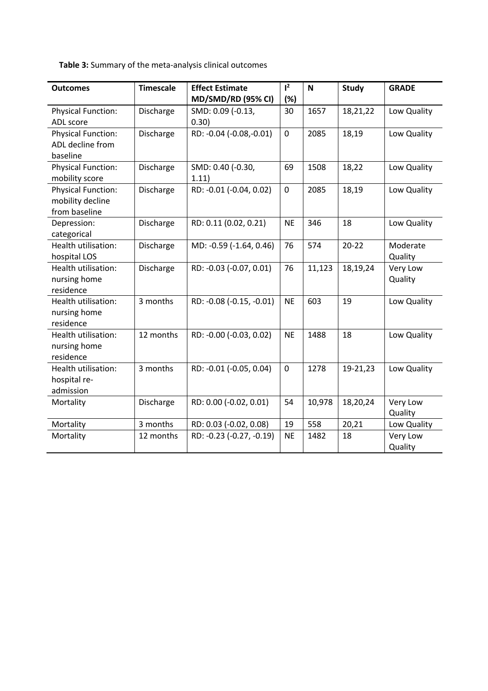**Table 3:** Summary of the meta-analysis clinical outcomes

| <b>Outcomes</b>           | <b>Timescale</b> | <b>Effect Estimate</b>   | $l^2$       | $\mathbf N$ | <b>Study</b> | <b>GRADE</b> |
|---------------------------|------------------|--------------------------|-------------|-------------|--------------|--------------|
|                           |                  | MD/SMD/RD (95% CI)       | (%)         |             |              |              |
| <b>Physical Function:</b> | Discharge        | SMD: 0.09 (-0.13,        | 30          | 1657        | 18,21,22     | Low Quality  |
| ADL score                 |                  | 0.30)                    |             |             |              |              |
| <b>Physical Function:</b> | Discharge        | RD: -0.04 (-0.08, -0.01) | $\mathbf 0$ | 2085        | 18,19        | Low Quality  |
| ADL decline from          |                  |                          |             |             |              |              |
| baseline                  |                  |                          |             |             |              |              |
| <b>Physical Function:</b> | Discharge        | SMD: 0.40 (-0.30,        | 69          | 1508        | 18,22        | Low Quality  |
| mobility score            |                  | 1.11)                    |             |             |              |              |
| <b>Physical Function:</b> | Discharge        | RD: -0.01 (-0.04, 0.02)  | $\mathbf 0$ | 2085        | 18,19        | Low Quality  |
| mobility decline          |                  |                          |             |             |              |              |
| from baseline             |                  |                          |             |             |              |              |
| Depression:               | Discharge        | RD: 0.11 (0.02, 0.21)    | <b>NE</b>   | 346         | 18           | Low Quality  |
| categorical               |                  |                          |             |             |              |              |
| Health utilisation:       | Discharge        | MD: -0.59 (-1.64, 0.46)  | 76          | 574         | $20 - 22$    | Moderate     |
| hospital LOS              |                  |                          |             |             |              | Quality      |
| Health utilisation:       | Discharge        | RD: -0.03 (-0.07, 0.01)  | 76          | 11,123      | 18,19,24     | Very Low     |
| nursing home              |                  |                          |             |             |              | Quality      |
| residence                 |                  |                          |             |             |              |              |
| Health utilisation:       | 3 months         | RD: -0.08 (-0.15, -0.01) | <b>NE</b>   | 603         | 19           | Low Quality  |
| nursing home              |                  |                          |             |             |              |              |
| residence                 |                  |                          |             |             |              |              |
| Health utilisation:       | 12 months        | RD: -0.00 (-0.03, 0.02)  | <b>NE</b>   | 1488        | 18           | Low Quality  |
| nursing home              |                  |                          |             |             |              |              |
| residence                 |                  |                          |             |             |              |              |
| Health utilisation:       | 3 months         | RD: -0.01 (-0.05, 0.04)  | $\mathbf 0$ | 1278        | 19-21,23     | Low Quality  |
| hospital re-              |                  |                          |             |             |              |              |
| admission                 |                  |                          |             |             |              |              |
| Mortality                 | Discharge        | RD: 0.00 (-0.02, 0.01)   | 54          | 10,978      | 18,20,24     | Very Low     |
|                           |                  |                          |             |             |              | Quality      |
| Mortality                 | 3 months         | RD: 0.03 (-0.02, 0.08)   | 19          | 558         | 20,21        | Low Quality  |
| Mortality                 | 12 months        | RD: -0.23 (-0.27, -0.19) | <b>NE</b>   | 1482        | 18           | Very Low     |
|                           |                  |                          |             |             |              | Quality      |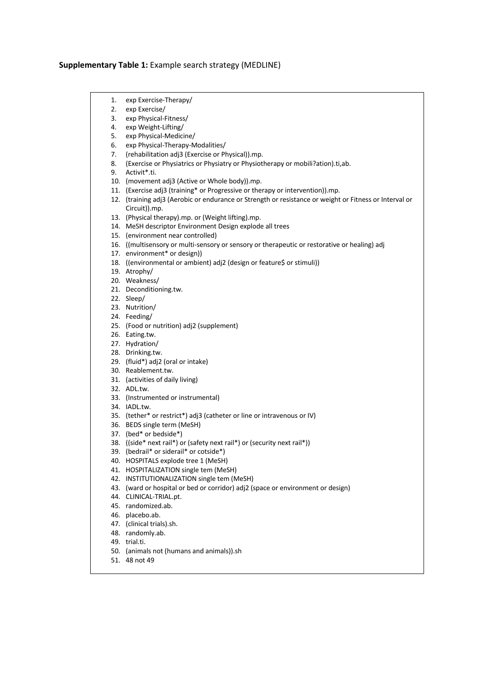#### **Supplementary Table 1:** Example search strategy (MEDLINE)

- 1. exp Exercise-Therapy/
- 2. exp Exercise/
- 3. exp Physical-Fitness/
- 4. exp Weight-Lifting/
- 5. exp Physical-Medicine/
- 6. exp Physical-Therapy-Modalities/
- 7. (rehabilitation adj3 (Exercise or Physical)).mp.
- 8. (Exercise or Physiatrics or Physiatry or Physiotherapy or mobili?ation).ti,ab.
- 9. Activit\*.ti.
- 10. (movement adj3 (Active or Whole body)).mp.
- 11. (Exercise adj3 (training\* or Progressive or therapy or intervention)).mp.
- 12. (training adj3 (Aerobic or endurance or Strength or resistance or weight or Fitness or Interval or Circuit)).mp.
- 13. (Physical therapy).mp. or (Weight lifting).mp.
- 14. MeSH descriptor Environment Design explode all trees
- 15. (environment near controlled)
- 16. ((multisensory or multi-sensory or sensory or therapeutic or restorative or healing) adj
- 17. environment\* or design))
- 18. ((environmental or ambient) adj2 (design or feature\$ or stimuli))
- 19. Atrophy/
- 20. Weakness/
- 21. Deconditioning.tw.
- 22. Sleep/
- 23. Nutrition/
- 24. Feeding/
- 25. (Food or nutrition) adj2 (supplement)
- 26. Eating.tw.
- 27. Hydration/
- 28. Drinking.tw.
- 29. (fluid\*) adj2 (oral or intake)
- 30. Reablement.tw.
- 31. (activities of daily living)
- 32. ADL.tw.
- 33. (Instrumented or instrumental)
- 34. IADL.tw.
- 35. (tether\* or restrict\*) adj3 (catheter or line or intravenous or IV)
- 36. BEDS single term (MeSH)
- 37. (bed\* or bedside\*)
- 38. ((side\* next rail\*) or (safety next rail\*) or (security next rail\*))
- 39. (bedrail\* or siderail\* or cotside\*)
- 40. HOSPITALS explode tree 1 (MeSH)
- 41. HOSPITALIZATION single tem (MeSH)
- 42. INSTITUTIONALIZATION single tem (MeSH)
- 43. (ward or hospital or bed or corridor) adj2 (space or environment or design)
- 44. CLINICAL-TRIAL.pt.
- 45. randomized.ab.
- 46. placebo.ab.
- 47. (clinical trials).sh.
- 48. randomly.ab.
- 49. trial.ti.
- 50. (animals not (humans and animals)).sh
- 51. 48 not 49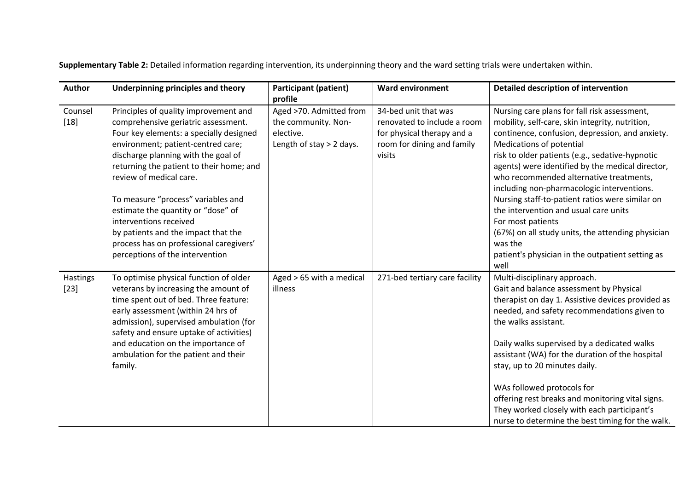**Supplementary Table 2:** Detailed information regarding intervention, its underpinning theory and the ward setting trials were undertaken within.

| Author             | <b>Underpinning principles and theory</b>                                                                                                                                                                                                                                                                                                                                                                                                                                                              | <b>Participant (patient)</b><br>profile                                                   | <b>Ward environment</b>                                                                                                   | <b>Detailed description of intervention</b>                                                                                                                                                                                                                                                                                                                                                                                                                                                                                                                                                                                 |
|--------------------|--------------------------------------------------------------------------------------------------------------------------------------------------------------------------------------------------------------------------------------------------------------------------------------------------------------------------------------------------------------------------------------------------------------------------------------------------------------------------------------------------------|-------------------------------------------------------------------------------------------|---------------------------------------------------------------------------------------------------------------------------|-----------------------------------------------------------------------------------------------------------------------------------------------------------------------------------------------------------------------------------------------------------------------------------------------------------------------------------------------------------------------------------------------------------------------------------------------------------------------------------------------------------------------------------------------------------------------------------------------------------------------------|
| Counsel<br>$[18]$  | Principles of quality improvement and<br>comprehensive geriatric assessment.<br>Four key elements: a specially designed<br>environment; patient-centred care;<br>discharge planning with the goal of<br>returning the patient to their home; and<br>review of medical care.<br>To measure "process" variables and<br>estimate the quantity or "dose" of<br>interventions received<br>by patients and the impact that the<br>process has on professional caregivers'<br>perceptions of the intervention | Aged >70. Admitted from<br>the community. Non-<br>elective.<br>Length of stay $>$ 2 days. | 34-bed unit that was<br>renovated to include a room<br>for physical therapy and a<br>room for dining and family<br>visits | Nursing care plans for fall risk assessment,<br>mobility, self-care, skin integrity, nutrition,<br>continence, confusion, depression, and anxiety.<br>Medications of potential<br>risk to older patients (e.g., sedative-hypnotic<br>agents) were identified by the medical director,<br>who recommended alternative treatments,<br>including non-pharmacologic interventions.<br>Nursing staff-to-patient ratios were similar on<br>the intervention and usual care units<br>For most patients<br>(67%) on all study units, the attending physician<br>was the<br>patient's physician in the outpatient setting as<br>well |
| Hastings<br>$[23]$ | To optimise physical function of older<br>veterans by increasing the amount of<br>time spent out of bed. Three feature:<br>early assessment (within 24 hrs of<br>admission), supervised ambulation (for<br>safety and ensure uptake of activities)<br>and education on the importance of<br>ambulation for the patient and their<br>family.                                                                                                                                                            | Aged > 65 with a medical<br>illness                                                       | 271-bed tertiary care facility                                                                                            | Multi-disciplinary approach.<br>Gait and balance assessment by Physical<br>therapist on day 1. Assistive devices provided as<br>needed, and safety recommendations given to<br>the walks assistant.<br>Daily walks supervised by a dedicated walks<br>assistant (WA) for the duration of the hospital<br>stay, up to 20 minutes daily.<br>WAs followed protocols for<br>offering rest breaks and monitoring vital signs.<br>They worked closely with each participant's<br>nurse to determine the best timing for the walk.                                                                                                 |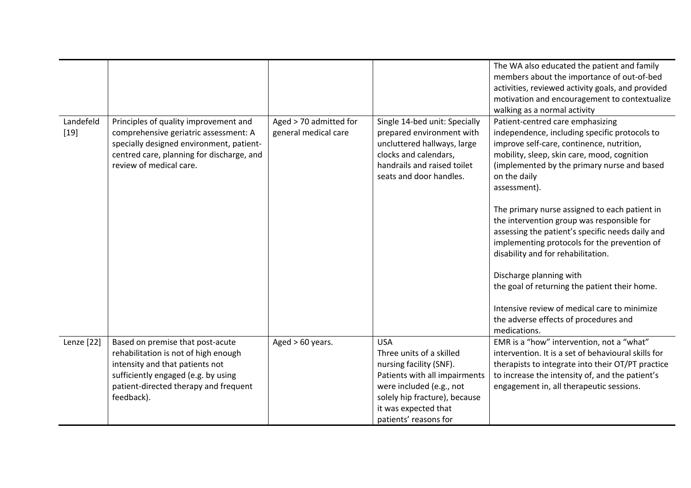|                     |                                                                                                                                                                                                           |                                                |                                                                                                                                                                                                                  | The WA also educated the patient and family<br>members about the importance of out-of-bed<br>activities, reviewed activity goals, and provided<br>motivation and encouragement to contextualize<br>walking as a normal activity                                                                                                                                                                                                                                                                                                                                                                                                                                                            |
|---------------------|-----------------------------------------------------------------------------------------------------------------------------------------------------------------------------------------------------------|------------------------------------------------|------------------------------------------------------------------------------------------------------------------------------------------------------------------------------------------------------------------|--------------------------------------------------------------------------------------------------------------------------------------------------------------------------------------------------------------------------------------------------------------------------------------------------------------------------------------------------------------------------------------------------------------------------------------------------------------------------------------------------------------------------------------------------------------------------------------------------------------------------------------------------------------------------------------------|
| Landefeld<br>$[19]$ | Principles of quality improvement and<br>comprehensive geriatric assessment: A<br>specially designed environment, patient-<br>centred care, planning for discharge, and<br>review of medical care.        | Aged > 70 admitted for<br>general medical care | Single 14-bed unit: Specially<br>prepared environment with<br>uncluttered hallways, large<br>clocks and calendars,<br>handrails and raised toilet<br>seats and door handles.                                     | Patient-centred care emphasizing<br>independence, including specific protocols to<br>improve self-care, continence, nutrition,<br>mobility, sleep, skin care, mood, cognition<br>(implemented by the primary nurse and based<br>on the daily<br>assessment).<br>The primary nurse assigned to each patient in<br>the intervention group was responsible for<br>assessing the patient's specific needs daily and<br>implementing protocols for the prevention of<br>disability and for rehabilitation.<br>Discharge planning with<br>the goal of returning the patient their home.<br>Intensive review of medical care to minimize<br>the adverse effects of procedures and<br>medications. |
| Lenze [22]          | Based on premise that post-acute<br>rehabilitation is not of high enough<br>intensity and that patients not<br>sufficiently engaged (e.g. by using<br>patient-directed therapy and frequent<br>feedback). | Aged $> 60$ years.                             | <b>USA</b><br>Three units of a skilled<br>nursing facility (SNF).<br>Patients with all impairments<br>were included (e.g., not<br>solely hip fracture), because<br>it was expected that<br>patients' reasons for | EMR is a "how" intervention, not a "what"<br>intervention. It is a set of behavioural skills for<br>therapists to integrate into their OT/PT practice<br>to increase the intensity of, and the patient's<br>engagement in, all therapeutic sessions.                                                                                                                                                                                                                                                                                                                                                                                                                                       |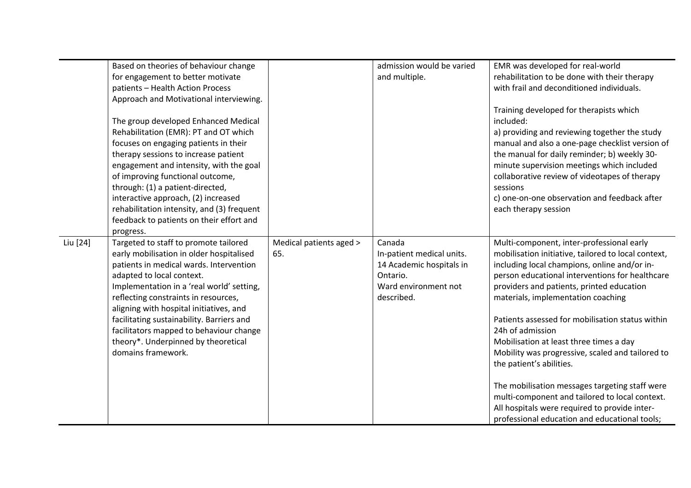|          | Based on theories of behaviour change<br>for engagement to better motivate<br>patients - Health Action Process<br>Approach and Motivational interviewing.<br>The group developed Enhanced Medical                                                                                                                                                                                                                                                           |                                | admission would be varied<br>and multiple.                                                                        | EMR was developed for real-world<br>rehabilitation to be done with their therapy<br>with frail and deconditioned individuals.<br>Training developed for therapists which<br>included:                                                                                                                                                                                                                                                                                                                                                                                                                                                                                                           |
|----------|-------------------------------------------------------------------------------------------------------------------------------------------------------------------------------------------------------------------------------------------------------------------------------------------------------------------------------------------------------------------------------------------------------------------------------------------------------------|--------------------------------|-------------------------------------------------------------------------------------------------------------------|-------------------------------------------------------------------------------------------------------------------------------------------------------------------------------------------------------------------------------------------------------------------------------------------------------------------------------------------------------------------------------------------------------------------------------------------------------------------------------------------------------------------------------------------------------------------------------------------------------------------------------------------------------------------------------------------------|
|          | Rehabilitation (EMR): PT and OT which<br>focuses on engaging patients in their<br>therapy sessions to increase patient<br>engagement and intensity, with the goal<br>of improving functional outcome,<br>through: (1) a patient-directed,<br>interactive approach, (2) increased<br>rehabilitation intensity, and (3) frequent<br>feedback to patients on their effort and                                                                                  |                                |                                                                                                                   | a) providing and reviewing together the study<br>manual and also a one-page checklist version of<br>the manual for daily reminder; b) weekly 30-<br>minute supervision meetings which included<br>collaborative review of videotapes of therapy<br>sessions<br>c) one-on-one observation and feedback after<br>each therapy session                                                                                                                                                                                                                                                                                                                                                             |
| Liu [24] | progress.<br>Targeted to staff to promote tailored<br>early mobilisation in older hospitalised<br>patients in medical wards. Intervention<br>adapted to local context.<br>Implementation in a 'real world' setting,<br>reflecting constraints in resources,<br>aligning with hospital initiatives, and<br>facilitating sustainability. Barriers and<br>facilitators mapped to behaviour change<br>theory*. Underpinned by theoretical<br>domains framework. | Medical patients aged ><br>65. | Canada<br>In-patient medical units.<br>14 Academic hospitals in<br>Ontario.<br>Ward environment not<br>described. | Multi-component, inter-professional early<br>mobilisation initiative, tailored to local context,<br>including local champions, online and/or in-<br>person educational interventions for healthcare<br>providers and patients, printed education<br>materials, implementation coaching<br>Patients assessed for mobilisation status within<br>24h of admission<br>Mobilisation at least three times a day<br>Mobility was progressive, scaled and tailored to<br>the patient's abilities.<br>The mobilisation messages targeting staff were<br>multi-component and tailored to local context.<br>All hospitals were required to provide inter-<br>professional education and educational tools; |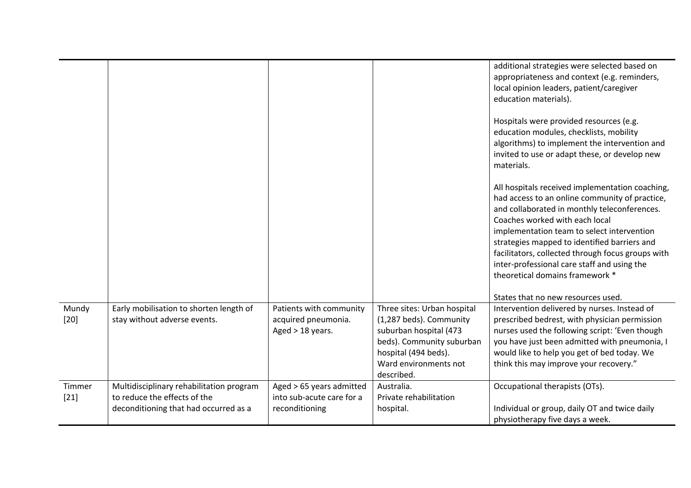|                  |                                                                                                                   |                                                                         |                                                                                                                                                                              | additional strategies were selected based on<br>appropriateness and context (e.g. reminders,<br>local opinion leaders, patient/caregiver<br>education materials).<br>Hospitals were provided resources (e.g.<br>education modules, checklists, mobility<br>algorithms) to implement the intervention and<br>invited to use or adapt these, or develop new<br>materials.<br>All hospitals received implementation coaching,<br>had access to an online community of practice,<br>and collaborated in monthly teleconferences.<br>Coaches worked with each local<br>implementation team to select intervention<br>strategies mapped to identified barriers and<br>facilitators, collected through focus groups with<br>inter-professional care staff and using the<br>theoretical domains framework * |
|------------------|-------------------------------------------------------------------------------------------------------------------|-------------------------------------------------------------------------|------------------------------------------------------------------------------------------------------------------------------------------------------------------------------|-----------------------------------------------------------------------------------------------------------------------------------------------------------------------------------------------------------------------------------------------------------------------------------------------------------------------------------------------------------------------------------------------------------------------------------------------------------------------------------------------------------------------------------------------------------------------------------------------------------------------------------------------------------------------------------------------------------------------------------------------------------------------------------------------------|
|                  |                                                                                                                   |                                                                         |                                                                                                                                                                              | States that no new resources used.                                                                                                                                                                                                                                                                                                                                                                                                                                                                                                                                                                                                                                                                                                                                                                  |
| Mundy<br>$[20]$  | Early mobilisation to shorten length of<br>stay without adverse events.                                           | Patients with community<br>acquired pneumonia.<br>Aged > 18 years.      | Three sites: Urban hospital<br>(1,287 beds). Community<br>suburban hospital (473<br>beds). Community suburban<br>hospital (494 beds).<br>Ward environments not<br>described. | Intervention delivered by nurses. Instead of<br>prescribed bedrest, with physician permission<br>nurses used the following script: 'Even though<br>you have just been admitted with pneumonia, I<br>would like to help you get of bed today. We<br>think this may improve your recovery."                                                                                                                                                                                                                                                                                                                                                                                                                                                                                                           |
| Timmer<br>$[21]$ | Multidisciplinary rehabilitation program<br>to reduce the effects of the<br>deconditioning that had occurred as a | Aged > 65 years admitted<br>into sub-acute care for a<br>reconditioning | Australia.<br>Private rehabilitation<br>hospital.                                                                                                                            | Occupational therapists (OTs).<br>Individual or group, daily OT and twice daily<br>physiotherapy five days a week.                                                                                                                                                                                                                                                                                                                                                                                                                                                                                                                                                                                                                                                                                  |